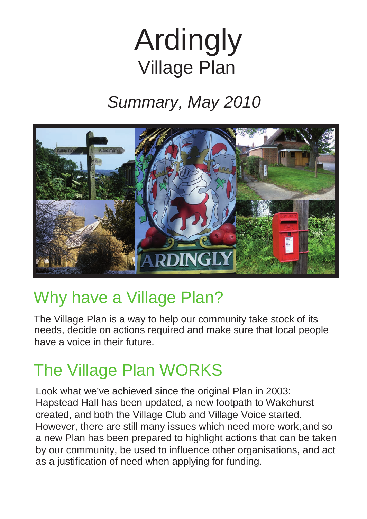# Ardingly Village Plan

# *Summary, May 2010*



# Why have a Village Plan?

The Village Plan is a way to help our community take stock of its needs, decide on actions required and make sure that local people have a voice in their future.

# The Village Plan WORKS

Look what we've achieved since the original Plan in 2003: Hapstead Hall has been updated, a new footpath to Wakehurst created, and both the Village Club and Village Voice started. However, there are still many issues which need more work,and so a new Plan has been prepared to highlight actions that can be taken by our community, be used to influence other organisations, and act as a justification of need when applying for funding.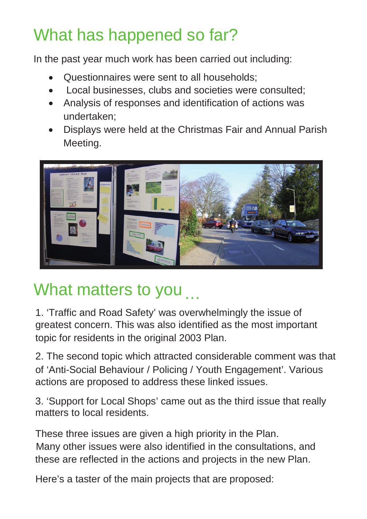# What has happened so far?

In the past year much work has been carried out including:

- Questionnaires were sent to all households;
- Local businesses, clubs and societies were consulted;
- Analysis of responses and identification of actions was undertaken;
- Displays were held at the Christmas Fair and Annual Parish Meeting.



# What matters to you

1. 'Traffic and Road Safety' was overwhelmingly the issue of greatest concern. This was also identified as the most important topic for residents in the original 2003 Plan.

2. The second topic which attracted considerable comment was that of 'Anti-Social Behaviour / Policing / Youth Engagement'. Various actions are proposed to address these linked issues.

3. 'Support for Local Shops' came out as the third issue that really matters to local residents.

These three issues are given a high priority in the Plan. Many other issues were also identified in the consultations, and these are reflected in the actions and projects in the new Plan.

Here's a taster of the main projects that are proposed: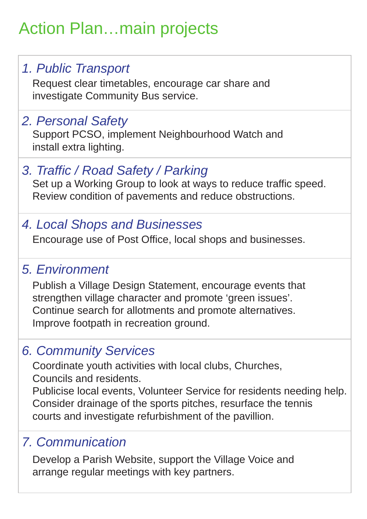# Action Plan…main projects

#### *1. Public Transport*

Request clear timetables, encourage car share and investigate Community Bus service.

#### *2. Personal Safety*

Support PCSO, implement Neighbourhood Watch and install extra lighting.

#### *3. Traffic / Road Safety / Parking*

Set up a Working Group to look at ways to reduce traffic speed. Review condition of pavements and reduce obstructions.

#### *4. Local Shops and Businesses*

Encourage use of Post Office, local shops and businesses.

#### *5. Environment*

Publish a Village Design Statement, encourage events that strengthen village character and promote 'green issues'. Continue search for allotments and promote alternatives. Improve footpath in recreation ground.

#### *6. Community Services*

Coordinate youth activities with local clubs, Churches, Councils and residents.

Publicise local events, Volunteer Service for residents needing help. Consider drainage of the sports pitches, resurface the tennis courts and investigate refurbishment of the pavillion.

#### *7. Communication*

Develop a Parish Website, support the Village Voice and arrange regular meetings with key partners.